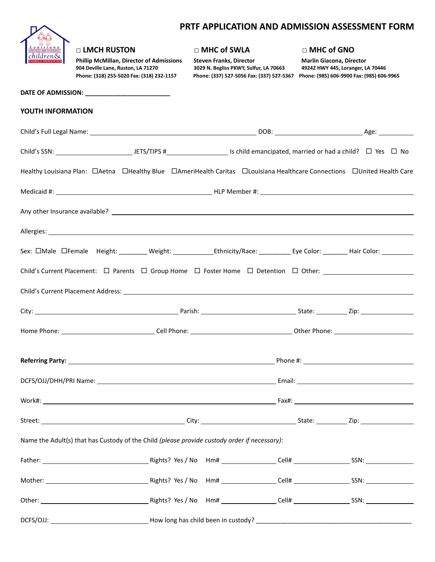# **PRTF APPLICATION AND ADMISSION ASSESSMENT FORM**

| Louisiana<br><mark>UNITED METHODIST</mark>    |  |
|-----------------------------------------------|--|
| <mark>children&amp;</mark><br>FAMILY SERVICES |  |

#### **□ LMCH RUSTON □ MHC of SWLA □ MHC of GNO**

Phillip McMillan, Director of Admissions Steven Franks, Director **Marlin Giacona, Director (1986)**<br>1924 Deville Lane, Ruston, LA 71270 3029 N. Begliss PKWY, Sulfur, LA 70663 49242 HWY 445, Loranger, LA 70446 Phone: (318) 255-5020 Fax: (318) 232-1157 Phone: (337) 527-5056 Fax: (337) 527-5367 Phone: (985) 606-9900 Fax: (985) 606-9965

**DATE OF ADMISSION: \_\_\_\_\_\_\_\_\_\_\_\_\_\_\_\_\_\_\_\_\_\_\_\_**

**904 Deville Lane, Ruston, LA 71270 3029 N. Begliss PKWY, Sulfur, LA 70663 49242 HWY 445, Loranger, LA 70446**

| YOUTH INFORMATION                                                                                                                                                                                                              |  |  |  |
|--------------------------------------------------------------------------------------------------------------------------------------------------------------------------------------------------------------------------------|--|--|--|
|                                                                                                                                                                                                                                |  |  |  |
|                                                                                                                                                                                                                                |  |  |  |
| Healthy Louisiana Plan: □Aetna □Healthy Blue □AmeriHealth Caritas □Louisiana Healthcare Connections □United Health Care                                                                                                        |  |  |  |
|                                                                                                                                                                                                                                |  |  |  |
|                                                                                                                                                                                                                                |  |  |  |
| Allergies: Allergies: Allergies: Allergies: Allergies: Allergies: Allergies: Allergies: Allergies: Allergies: Allergies: Allergies: Allergies: Allergies: Allergies: Allergies: Allergies: Allergies: Allergies: Allergies: Al |  |  |  |
|                                                                                                                                                                                                                                |  |  |  |
| Child's Current Placement: □ Parents □ Group Home □ Foster Home □ Detention □ Other: __________________________                                                                                                                |  |  |  |
|                                                                                                                                                                                                                                |  |  |  |
|                                                                                                                                                                                                                                |  |  |  |
|                                                                                                                                                                                                                                |  |  |  |
|                                                                                                                                                                                                                                |  |  |  |
|                                                                                                                                                                                                                                |  |  |  |
|                                                                                                                                                                                                                                |  |  |  |
|                                                                                                                                                                                                                                |  |  |  |
| Name the Adult(s) that has Custody of the Child (please provide custody order if necessary):                                                                                                                                   |  |  |  |
|                                                                                                                                                                                                                                |  |  |  |
|                                                                                                                                                                                                                                |  |  |  |
|                                                                                                                                                                                                                                |  |  |  |
|                                                                                                                                                                                                                                |  |  |  |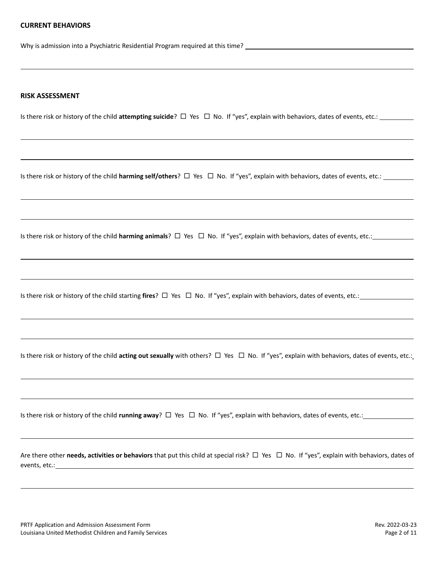#### **CURRENT BEHAVIORS**

Why is admission into a Psychiatric Residential Program required at this time?

#### **RISK ASSESSMENT**

Is there risk or history of the child **attempting suicide**?  $\Box$  Yes  $\Box$  No. If "yes", explain with behaviors, dates of events, etc.:

Is there risk or history of the child **harming self/others**? □ Yes □ No. If "yes", explain with behaviors, dates of events, etc.:

Is there risk or history of the child **harming animals**?  $\Box$  Yes  $\Box$  No. If "yes", explain with behaviors, dates of events, etc.:

Is there risk or history of the child starting **fires**?  $\Box$  Yes  $\Box$  No. If "yes", explain with behaviors, dates of events, etc.:

Is there risk or history of the child **acting out sexually** with others?  $\Box$  Yes  $\Box$  No. If "yes", explain with behaviors, dates of events, etc.:

Is there risk or history of the child **running away**?  $\Box$  Yes  $\Box$  No. If "yes", explain with behaviors, dates of events, etc.:

Are there other **needs, activities or behaviors** that put this child at special risk?  $\Box$  Yes  $\Box$  No. If "yes", explain with behaviors, dates of events, etc.: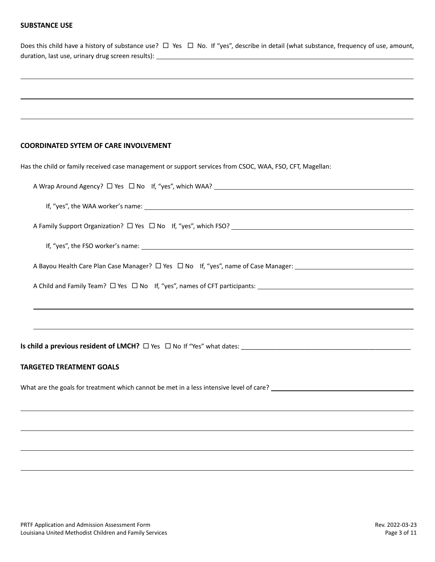# **SUBSTANCE USE**

| Does this child have a history of substance use? $\Box$ Yes $\Box$ No. If "yes", describe in detail (what substance, frequency of use, amount, |  |  |  |  |  |  |
|------------------------------------------------------------------------------------------------------------------------------------------------|--|--|--|--|--|--|
| duration, last use, urinary drug screen results):                                                                                              |  |  |  |  |  |  |

# **COORDINATED SYTEM OF CARE INVOLVEMENT**

| Has the child or family received case management or support services from CSOC, WAA, FSO, CFT, Magellan:                                                                                                                                                                              |
|---------------------------------------------------------------------------------------------------------------------------------------------------------------------------------------------------------------------------------------------------------------------------------------|
|                                                                                                                                                                                                                                                                                       |
|                                                                                                                                                                                                                                                                                       |
|                                                                                                                                                                                                                                                                                       |
| If, "yes", the FSO worker's name: $\sqrt{2\pi}$ and $\sqrt{2\pi}$ and $\sqrt{2\pi}$ and $\sqrt{2\pi}$ and $\sqrt{2\pi}$ and $\sqrt{2\pi}$ and $\sqrt{2\pi}$ and $\sqrt{2\pi}$ and $\sqrt{2\pi}$ and $\sqrt{2\pi}$ and $\sqrt{2\pi}$ and $\sqrt{2\pi}$ and $\sqrt{2\pi}$ and $\sqrt{2$ |
| A Bayou Health Care Plan Case Manager? □ Yes □ No lf, "yes", name of Case Manager:                                                                                                                                                                                                    |
|                                                                                                                                                                                                                                                                                       |
| ,我们也不会有什么?""我们的人,我们也不会有什么?""我们的人,我们也不会有什么?""我们的人,我们也不会有什么?""我们的人,我们也不会有什么?""我们的人                                                                                                                                                                                                      |
|                                                                                                                                                                                                                                                                                       |
| Is child a previous resident of LMCH? $\Box$ Yes $\Box$ No If "Yes" what dates:                                                                                                                                                                                                       |
| <b>TARGETED TREATMENT GOALS</b>                                                                                                                                                                                                                                                       |
|                                                                                                                                                                                                                                                                                       |
|                                                                                                                                                                                                                                                                                       |
|                                                                                                                                                                                                                                                                                       |
|                                                                                                                                                                                                                                                                                       |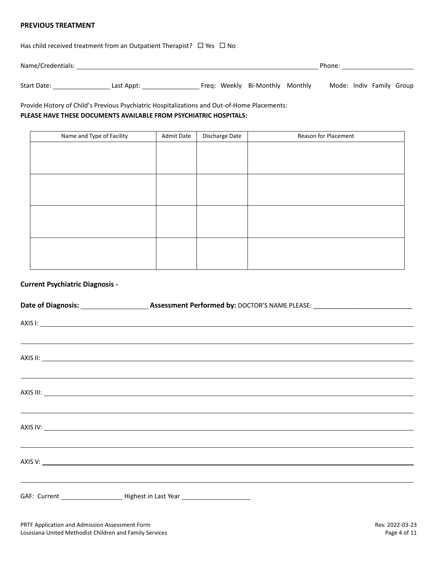#### **PREVIOUS TREATMENT**

Has child received treatment from an Outpatient Therapist?  $\Box$  Yes  $\Box$  No

Name/Credentials: Name Credentials: Phone: Name Credentials: Phone: Phone: Phone: Phone: Phone: Phone: Phone: Phone: Phone: Phone: Phone: Phone: Phone: Phone: Phone: Phone: Phone: Phone: Phone: Phone: Phone: Phone: Phone:

Start Date: Last Appt: Last Appt: Freq: Weekly Bi-Monthly Monthly Mode: Indiv Family Group

# Provide History of Child's Previous Psychiatric Hospitalizations and Out-of-Home Placements: **PLEASE HAVE THESE DOCUMENTS AVAILABLE FROM PSYCHIATRIC HOSPITALS:**

| Name and Type of Facility | <b>Admit Date</b> | Discharge Date | Reason for Placement |
|---------------------------|-------------------|----------------|----------------------|
|                           |                   |                |                      |
|                           |                   |                |                      |
|                           |                   |                |                      |
|                           |                   |                |                      |
|                           |                   |                |                      |
|                           |                   |                |                      |
|                           |                   |                |                      |
|                           |                   |                |                      |
|                           |                   |                |                      |
|                           |                   |                |                      |
|                           |                   |                |                      |
|                           |                   |                |                      |

#### **Current Psychiatric Diagnosis -**

| <u> 2000 - Andrea Andrewski, amerikansk politik (d. 1989)</u>                                                                                                                                                                        |
|--------------------------------------------------------------------------------------------------------------------------------------------------------------------------------------------------------------------------------------|
| AXIS II: <u>New York: AXIS III: New York: AXIS III: New York: AXIS III: New York: AXIS III: New York: AXIS III: New York: AXIS III: New York: AXIS III: New York: AXIS III: New York: AXIS III: New York: AXIS III: New York: AX</u> |
| <u> 1999 - Jan Barbara de Santo Alemania de Santo Alemánico de Santo Alemánico de Santo Alemánico de Santo Alemán</u>                                                                                                                |
|                                                                                                                                                                                                                                      |
|                                                                                                                                                                                                                                      |
| AXIS IV: New York Contract the Contract of the Contract of the Contract of the Contract of the Contract of the Contract of the Contract of the Contract of the Contract of the Contract of the Contract of the Contract of the       |
| <u> Alexandro de la contrada de la contrada de la contrada de la contrada de la contrada de la contrada de la con</u>                                                                                                                |
|                                                                                                                                                                                                                                      |
| <u> 1999 - Johann Harry Harry Harry Harry Harry Harry Harry Harry Harry Harry Harry Harry Harry Harry Harry Harry</u>                                                                                                                |
| GAF: Current ____________________________Highest in Last Year ___________________                                                                                                                                                    |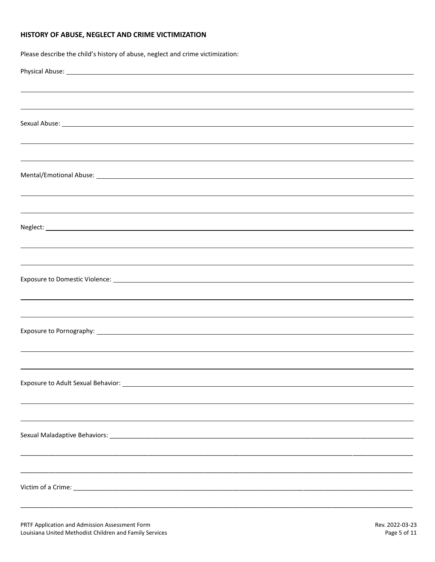#### **HISTORY OF ABUSE, NEGLECT AND CRIME VICTIMIZATION**

| Please describe the child's history of abuse, neglect and crime victimization:   |
|----------------------------------------------------------------------------------|
|                                                                                  |
| ,我们也不会有什么?""我们的人,我们也不会有什么?""我们的人,我们也不会有什么?""我们的人,我们也不会有什么?""我们的人,我们也不会有什么?""我们的人 |
| ,我们也不会有什么。""我们的人,我们也不会有什么?""我们的人,我们也不会有什么?""我们的人,我们也不会有什么?""我们的人,我们也不会有什么?""我们的人 |
|                                                                                  |
|                                                                                  |
| ,我们也不会有什么。""我们的人,我们也不会有什么?""我们的人,我们也不会有什么?""我们的人,我们也不会有什么?""我们的人,我们也不会有什么?""我们的人 |
|                                                                                  |
|                                                                                  |
|                                                                                  |
|                                                                                  |
|                                                                                  |
|                                                                                  |
|                                                                                  |
| ,我们也不会有什么。""我们的人,我们也不会有什么?""我们的人,我们也不会有什么?""我们的人,我们也不会有什么?""我们的人,我们也不会有什么?""我们的人 |
|                                                                                  |
|                                                                                  |
|                                                                                  |
|                                                                                  |
|                                                                                  |
|                                                                                  |
|                                                                                  |
|                                                                                  |
|                                                                                  |
|                                                                                  |
|                                                                                  |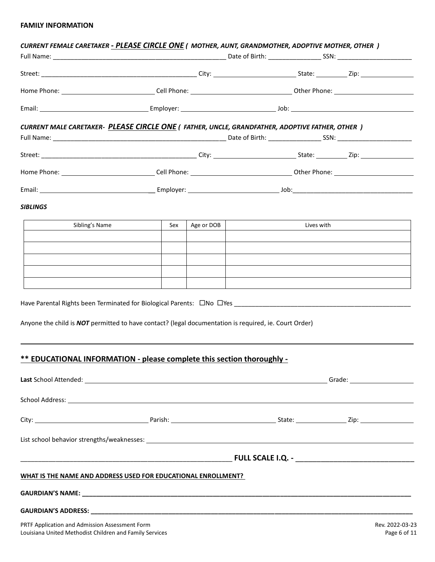# **FAMILY INFORMATION**

| CURRENT FEMALE CARETAKER - PLEASE CIRCLE ONE ( MOTHER, AUNT, GRANDMOTHER, ADOPTIVE MOTHER, OTHER )    |     |            |                          |                                                                                                                                                                                                                                |
|-------------------------------------------------------------------------------------------------------|-----|------------|--------------------------|--------------------------------------------------------------------------------------------------------------------------------------------------------------------------------------------------------------------------------|
|                                                                                                       |     |            |                          |                                                                                                                                                                                                                                |
|                                                                                                       |     |            |                          |                                                                                                                                                                                                                                |
|                                                                                                       |     |            |                          |                                                                                                                                                                                                                                |
|                                                                                                       |     |            |                          |                                                                                                                                                                                                                                |
| <b>CURRENT MALE CARETAKER- PLEASE CIRCLE ONE (FATHER, UNCLE, GRANDFATHER, ADOPTIVE FATHER, OTHER)</b> |     |            |                          |                                                                                                                                                                                                                                |
|                                                                                                       |     |            |                          |                                                                                                                                                                                                                                |
|                                                                                                       |     |            |                          |                                                                                                                                                                                                                                |
|                                                                                                       |     |            |                          |                                                                                                                                                                                                                                |
|                                                                                                       |     |            |                          |                                                                                                                                                                                                                                |
|                                                                                                       |     |            |                          |                                                                                                                                                                                                                                |
| <b>SIBLINGS</b>                                                                                       |     |            |                          |                                                                                                                                                                                                                                |
| Sibling's Name                                                                                        | Sex | Age or DOB | $\overline{\phantom{a}}$ | Lives with the control of the control of the control of the control of the control of the control of the control of the control of the control of the control of the control of the control of the control of the control of t |
|                                                                                                       |     |            |                          |                                                                                                                                                                                                                                |
|                                                                                                       |     |            |                          |                                                                                                                                                                                                                                |
|                                                                                                       |     |            |                          |                                                                                                                                                                                                                                |
|                                                                                                       |     |            |                          |                                                                                                                                                                                                                                |
|                                                                                                       |     |            |                          |                                                                                                                                                                                                                                |
|                                                                                                       |     |            |                          |                                                                                                                                                                                                                                |
| Anyone the child is NOT permitted to have contact? (legal documentation is required, ie. Court Order) |     |            |                          |                                                                                                                                                                                                                                |
|                                                                                                       |     |            |                          |                                                                                                                                                                                                                                |
| ** EDUCATIONAL INFORMATION - please complete this section thoroughly -                                |     |            |                          |                                                                                                                                                                                                                                |
|                                                                                                       |     |            |                          |                                                                                                                                                                                                                                |
|                                                                                                       |     |            |                          |                                                                                                                                                                                                                                |
|                                                                                                       |     |            |                          |                                                                                                                                                                                                                                |
|                                                                                                       |     |            |                          |                                                                                                                                                                                                                                |
|                                                                                                       |     |            |                          |                                                                                                                                                                                                                                |
|                                                                                                       |     |            |                          |                                                                                                                                                                                                                                |
|                                                                                                       |     |            |                          |                                                                                                                                                                                                                                |
| WHAT IS THE NAME AND ADDRESS USED FOR EDUCATIONAL ENROLLMENT?                                         |     |            |                          |                                                                                                                                                                                                                                |
|                                                                                                       |     |            |                          |                                                                                                                                                                                                                                |
|                                                                                                       |     |            |                          |                                                                                                                                                                                                                                |
|                                                                                                       |     |            |                          |                                                                                                                                                                                                                                |
| PRTF Application and Admission Assessment Form                                                        |     |            |                          | Rev. 2022-03-23                                                                                                                                                                                                                |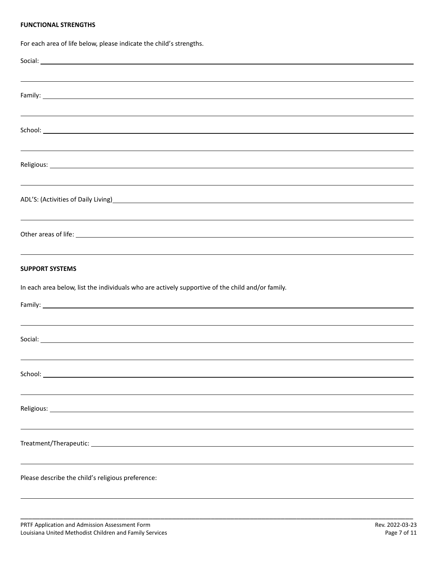#### **FUNCTIONAL STRENGTHS**

For each area of life below, please indicate the child's strengths. Social: <u>Executive Contract Contract Contract Contract Contract Contract Contract Contract Contract Contract Contract Contract Contract Contract Contract Contract Contract Contract Contract Contract Contract Contract Contr</u> Family: **Example 2018 Family: Example 2018 Family: Example 2018 Family: Example 2018** School: **School:** The state of the state of the state of the state of the state of the state of the state of the state of the state of the state of the state of the state of the state of the state of the state of the state Religious: ADL'S: (Activities of Daily Living)<br>
ADL'S: (Activities of Daily Living) Other areas of life: **SUPPORT SYSTEMS** In each area below, list the individuals who are actively supportive of the child and/or family. Family: 1997 Social: School: Religious: <u>with the contract of the contract of the contract of the contract of the contract of the contract of the contract of the contract of the contract of the contract of the contract of the contract of the contract </u> Treatment/Therapeutic: Please describe the child's religious preference:

\_\_\_\_\_\_\_\_\_\_\_\_\_\_\_\_\_\_\_\_\_\_\_\_\_\_\_\_\_\_\_\_\_\_\_\_\_\_\_\_\_\_\_\_\_\_\_\_\_\_\_\_\_\_\_\_\_\_\_\_\_\_\_\_\_\_\_\_\_\_\_\_\_\_\_\_\_\_\_\_\_\_\_\_\_\_\_\_\_\_\_\_\_\_\_\_\_\_\_\_\_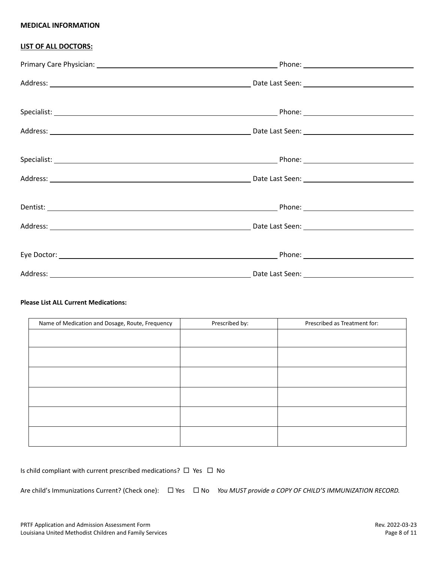#### **MEDICAL INFORMATION**

### **LIST OF ALL DOCTORS:**

### **Please List ALL Current Medications:**

| Name of Medication and Dosage, Route, Frequency | Prescribed by: | Prescribed as Treatment for: |
|-------------------------------------------------|----------------|------------------------------|
|                                                 |                |                              |
|                                                 |                |                              |
|                                                 |                |                              |
|                                                 |                |                              |
|                                                 |                |                              |
|                                                 |                |                              |

| Is child compliant with current prescribed medications? $\Box$ Yes $\Box$ No |  |  |  |
|------------------------------------------------------------------------------|--|--|--|
|------------------------------------------------------------------------------|--|--|--|

Are child's Immunizations Current? (Check one):  $\Box$  Yes  $\Box$  No *You MUST provide a COPY OF CHILD'S IMMUNIZATION RECORD.*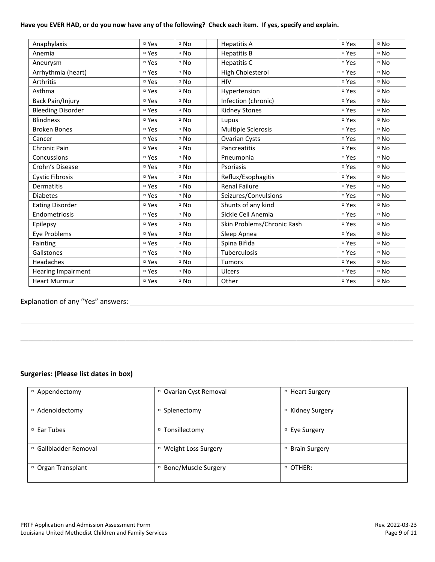#### **Have you EVER HAD, or do you now have any of the following? Check each item. If yes, specify and explain.**

| Anaphylaxis              | □ Yes            | $D \cap NQ$ | <b>Hepatitis A</b>         | □ Yes            | $D$ No                      |
|--------------------------|------------------|-------------|----------------------------|------------------|-----------------------------|
| Anemia                   | □ Yes            | □ No        | <b>Hepatitis B</b>         | □ Yes            | $^{\circ}$ No               |
| Aneurysm                 | □ Yes            | □ No        | Hepatitis C                | □ Yes            | $D \cap NQ$                 |
| Arrhythmia (heart)       | □ Yes            | □ No        | High Cholesterol           | □ Yes            | $D \cap NQ$                 |
| Arthritis                | □ Yes            | □ No        | <b>HIV</b>                 | □ Yes            | $\overline{\phantom{a}}$ No |
| Asthma                   | <sup>¤</sup> Yes | □ No        | Hypertension               | □ Yes            | $D$ No                      |
| Back Pain/Injury         | □ Yes            | □ No        | Infection (chronic)        | □ Yes            | $D \cap NQ$                 |
| <b>Bleeding Disorder</b> | □ Yes            | □ No        | <b>Kidney Stones</b>       | □ Yes            | $D$ No                      |
| <b>Blindness</b>         | □ Yes            | □ No        | Lupus                      | □ Yes            | $D \cap NQ$                 |
| <b>Broken Bones</b>      | □ Yes            | □ No        | Multiple Sclerosis         | □ Yes            | $D \cap NQ$                 |
| Cancer                   | □ Yes            | □ No        | <b>Ovarian Cysts</b>       | □ Yes            | □ No                        |
| Chronic Pain             | □ Yes            | □ No        | Pancreatitis               | □ Yes            | $D \cap NQ$                 |
| Concussions              | □ Yes            | □ No        | Pneumonia                  | □ Yes            | $D \cap NQ$                 |
| Crohn's Disease          | □ Yes            | □ No        | Psoriasis                  | □ Yes            | $^{\circ}$ No               |
| <b>Cystic Fibrosis</b>   | □ Yes            | □ No        | Reflux/Esophagitis         | □ Yes            | $D$ No                      |
| <b>Dermatitis</b>        | □ Yes            | □ No        | <b>Renal Failure</b>       | □ Yes            | $D \cap NQ$                 |
| <b>Diabetes</b>          | □ Yes            | □ No        | Seizures/Convulsions       | □ Yes            | □ No                        |
| <b>Eating Disorder</b>   | <sup>¤</sup> Yes | $D$ No      | Shunts of any kind         | □ Yes            | $D$ No                      |
| Endometriosis            | □ Yes            | □ No        | Sickle Cell Anemia         | □ Yes            | $D \cap NQ$                 |
| Epilepsy                 | □ Yes            | $D \cap NQ$ | Skin Problems/Chronic Rash | □ Yes            | $D \cap NQ$                 |
| Eye Problems             | <sup>¤</sup> Yes | □ No        | Sleep Apnea                | □ Yes            | $^{\circ}$ No               |
| Fainting                 | □ Yes            | □ No        | Spina Bifida               | □ Yes            | $\overline{\phantom{a}}$ No |
| Gallstones               | □ Yes            | □ No        | Tuberculosis               | <sup>□</sup> Yes | $\overline{\phantom{a}}$ No |
| Headaches                | <sup>¤</sup> Yes | □ No        | Tumors                     | □ Yes            | $^{\circ}$ No               |
| Hearing Impairment       | □ Yes            | $D$ No      | Ulcers                     | □ Yes            | $D \cap NQ$                 |
| <b>Heart Murmur</b>      | □ Yes            | □ No        | Other                      | □ Yes            | □ No                        |

# Explanation of any "Yes" answers:

### **Surgeries: (Please list dates in box)**

| □ Appendectomy             | <sup>□</sup> Ovarian Cyst Removal | □ Heart Surgery             |
|----------------------------|-----------------------------------|-----------------------------|
| <sup>□</sup> Adenoidectomy | □ Splenectomy                     | <sup>D</sup> Kidney Surgery |
| □ Ear Tubes                | □ Tonsillectomy                   | □ Eye Surgery               |
| □ Gallbladder Removal      | <sup>D</sup> Weight Loss Surgery  | □ Brain Surgery             |
| □ Organ Transplant         | □ Bone/Muscle Surgery             | <sup>D</sup> OTHER:         |

\_\_\_\_\_\_\_\_\_\_\_\_\_\_\_\_\_\_\_\_\_\_\_\_\_\_\_\_\_\_\_\_\_\_\_\_\_\_\_\_\_\_\_\_\_\_\_\_\_\_\_\_\_\_\_\_\_\_\_\_\_\_\_\_\_\_\_\_\_\_\_\_\_\_\_\_\_\_\_\_\_\_\_\_\_\_\_\_\_\_\_\_\_\_\_\_\_\_\_\_\_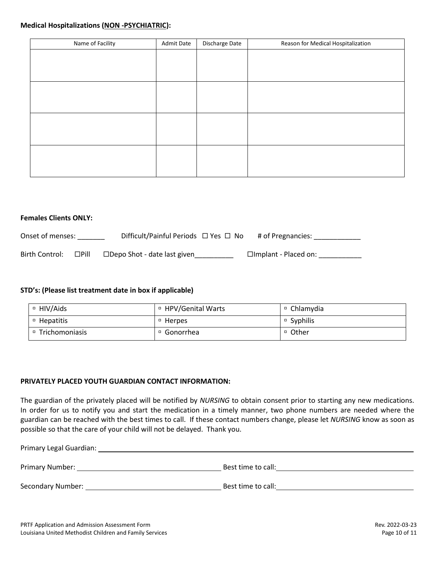#### **Medical Hospitalizations (NON -PSYCHIATRIC):**

| Name of Facility | <b>Admit Date</b> | Discharge Date | Reason for Medical Hospitalization |
|------------------|-------------------|----------------|------------------------------------|
|                  |                   |                |                                    |
|                  |                   |                |                                    |
|                  |                   |                |                                    |
|                  |                   |                |                                    |
|                  |                   |                |                                    |
|                  |                   |                |                                    |
|                  |                   |                |                                    |
|                  |                   |                |                                    |
|                  |                   |                |                                    |
|                  |                   |                |                                    |
|                  |                   |                |                                    |
|                  |                   |                |                                    |

#### **Females Clients ONLY:**

| Onset of menses: |             | Difficult/Painful Periods $\Box$ Yes $\Box$ No | # of Pregnancies:           |
|------------------|-------------|------------------------------------------------|-----------------------------|
| Birth Control:   | $\Box$ Pill | $\Box$ Depo Shot - date last given             | $\Box$ Implant - Placed on: |

### **STD's: (Please list treatment date in box if applicable)**

| □ HIV/Aids       | □ HPV/Genital Warts | □ Chlamydia |
|------------------|---------------------|-------------|
| □ Hepatitis      | □ Herpes            | □ Syphilis  |
| □ Trichomoniasis | □ Gonorrhea         | □ Other     |

### **PRIVATELY PLACED YOUTH GUARDIAN CONTACT INFORMATION:**

The guardian of the privately placed will be notified by *NURSING* to obtain consent prior to starting any new medications. In order for us to notify you and start the medication in a timely manner, two phone numbers are needed where the guardian can be reached with the best times to call. If these contact numbers change, please let *NURSING* know as soon as possible so that the care of your child will not be delayed. Thank you.

Primary Legal Guardian:

Primary Number: Best time to call:

Secondary Number: Secondary Number: Best time to call: